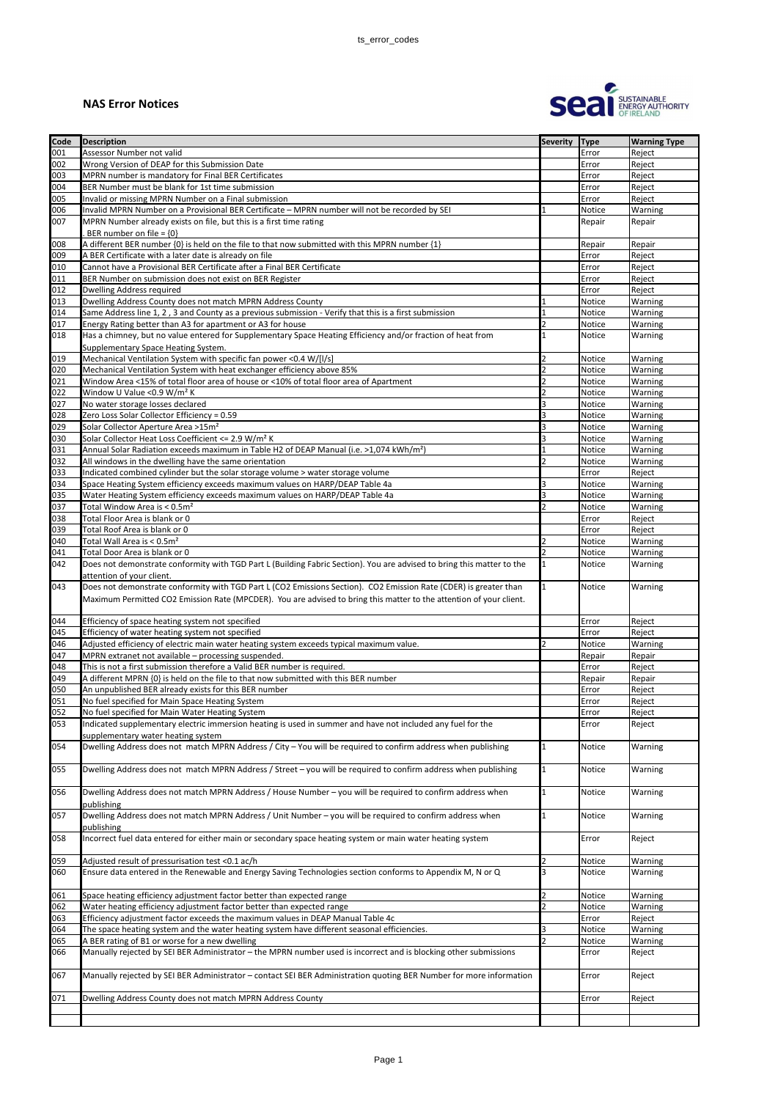## **NAS Error Notices**



| <b>Code</b> | <b>Description</b>                                                                                                                                                                                                                       | <b>Severity</b> | <b>Type</b>   | <b>Warning Type</b> |
|-------------|------------------------------------------------------------------------------------------------------------------------------------------------------------------------------------------------------------------------------------------|-----------------|---------------|---------------------|
| 001         | Assessor Number not valid                                                                                                                                                                                                                |                 | Error         | Reject              |
|             | Wrong Version of DEAP for this Submission Date                                                                                                                                                                                           |                 |               |                     |
| 002         |                                                                                                                                                                                                                                          |                 | Error         | Reject              |
| 003         | MPRN number is mandatory for Final BER Certificates                                                                                                                                                                                      |                 | Error         | Reject              |
| 004         | BER Number must be blank for 1st time submission                                                                                                                                                                                         |                 | Error         | Reject              |
| 005         | Invalid or missing MPRN Number on a Final submission                                                                                                                                                                                     |                 | Error         | Reject              |
| 006         | Invalid MPRN Number on a Provisional BER Certificate - MPRN number will not be recorded by SEI                                                                                                                                           |                 | Notice        | Warning             |
| 007         | MPRN Number already exists on file, but this is a first time rating                                                                                                                                                                      |                 | Repair        | Repair              |
|             | BER number on file = $\{0\}$                                                                                                                                                                                                             |                 |               |                     |
| 008         | A different BER number {0} is held on the file to that now submitted with this MPRN number {1}                                                                                                                                           |                 | Repair        | Repair              |
| 009         | A BER Certificate with a later date is already on file                                                                                                                                                                                   |                 | Error         | Reject              |
|             | Cannot have a Provisional BER Certificate after a Final BER Certificate                                                                                                                                                                  |                 |               |                     |
| 010         |                                                                                                                                                                                                                                          |                 | Error         | Reject              |
| 011         | BER Number on submission does not exist on BER Register                                                                                                                                                                                  |                 | Error         | Reject              |
| 012         | <b>Dwelling Address required</b>                                                                                                                                                                                                         |                 | Error         | Reject              |
| 013         | Dwelling Address County does not match MPRN Address County                                                                                                                                                                               |                 | Notice        | Warning             |
| 014         | Same Address line 1, 2, 3 and County as a previous submission - Verify that this is a first submission                                                                                                                                   |                 | Notice        | Warning             |
| 017         | Energy Rating better than A3 for apartment or A3 for house                                                                                                                                                                               |                 | Notice        | Warning             |
| 018         | Has a chimney, but no value entered for Supplementary Space Heating Efficiency and/or fraction of heat from                                                                                                                              |                 | Notice        | Warning             |
|             | Supplementary Space Heating System.                                                                                                                                                                                                      |                 |               |                     |
| 019         | Mechanical Ventilation System with specific fan power <0.4 W/[I/s]                                                                                                                                                                       | 2               | <b>Notice</b> | Warning             |
| 020         |                                                                                                                                                                                                                                          |                 |               |                     |
|             | Mechanical Ventilation System with heat exchanger efficiency above 85%                                                                                                                                                                   |                 | Notice        | <b>Warning</b>      |
| 021         | Window Area <15% of total floor area of house or <10% of total floor area of Apartment                                                                                                                                                   |                 | Notice        | Warning             |
| 022         | Window U Value < 0.9 W/m <sup>2</sup> K                                                                                                                                                                                                  |                 | Notice        | Warning             |
| 027         | No water storage losses declared                                                                                                                                                                                                         |                 | Notice        | Warning             |
| 028         | Zero Loss Solar Collector Efficiency = 0.59                                                                                                                                                                                              |                 | Notice        | Warning             |
| 029         | Solar Collector Aperture Area >15m <sup>2</sup>                                                                                                                                                                                          |                 | Notice        | Warning             |
| 030         | Solar Collector Heat Loss Coefficient <= 2.9 W/m <sup>2</sup> K                                                                                                                                                                          |                 | Notice        | Warning             |
| 031         | Annual Solar Radiation exceeds maximum in Table H2 of DEAP Manual (i.e. >1,074 kWh/m <sup>2</sup> )                                                                                                                                      |                 | Notice        | Warning             |
| 032         | All windows in the dwelling have the same orientation                                                                                                                                                                                    |                 | Notice        | Warning             |
| 033         | Indicated combined cylinder but the solar storage volume > water storage volume                                                                                                                                                          |                 | Error         | Reject              |
|             |                                                                                                                                                                                                                                          | 3               |               |                     |
| 034         | Space Heating System efficiency exceeds maximum values on HARP/DEAP Table 4a                                                                                                                                                             |                 | Notice        | Warning             |
| 035         | Water Heating System efficiency exceeds maximum values on HARP/DEAP Table 4a                                                                                                                                                             | 3               | Notice        | Warning             |
| 037         | Total Window Area is < 0.5m <sup>2</sup>                                                                                                                                                                                                 |                 | Notice        | Warning             |
| 038         | Total Floor Area is blank or 0                                                                                                                                                                                                           |                 | Error         | Reject              |
| 039         | Total Roof Area is blank or 0                                                                                                                                                                                                            |                 | Error         | Reject              |
| 040         | Total Wall Area is < 0.5m <sup>2</sup>                                                                                                                                                                                                   |                 | <b>Notice</b> | Warning             |
| 041         | Total Door Area is blank or 0                                                                                                                                                                                                            |                 | Notice        | Warning             |
| 042         | Does not demonstrate conformity with TGD Part L (Building Fabric Section). You are advised to bring this matter to the                                                                                                                   |                 | Notice        | Warning             |
|             | attention of your client.                                                                                                                                                                                                                |                 |               |                     |
| 043         | Does not demonstrate conformity with TGD Part L (CO2 Emissions Section). CO2 Emission Rate (CDER) is greater than<br>Maximum Permitted CO2 Emission Rate (MPCDER). You are advised to bring this matter to the attention of your client. |                 | Notice        | Warning             |
| 044         | Efficiency of space heating system not specified                                                                                                                                                                                         |                 | Error         | Reject              |
| 045         | Efficiency of water heating system not specified                                                                                                                                                                                         |                 | Error         | Reject              |
| 046         | Adjusted efficiency of electric main water heating system exceeds typical maximum value.                                                                                                                                                 |                 | Notice        | Warning             |
| 047         | MPRN extranet not available - processing suspended.                                                                                                                                                                                      |                 | Repair        | Repair              |
| 048         | This is not a first submission therefore a Valid BER number is required.                                                                                                                                                                 |                 |               | Reject              |
|             |                                                                                                                                                                                                                                          |                 | Error         |                     |
| 049         | A different MPRN {0} is held on the file to that now submitted with this BER number                                                                                                                                                      |                 | Repair        | Repair              |
| 050         | An unpublished BER already exists for this BER number                                                                                                                                                                                    |                 | Error         | Reject              |
| 051         | No fuel specified for Main Space Heating System                                                                                                                                                                                          |                 | Error         | Reject              |
| 052         | No fuel specified for Main Water Heating System                                                                                                                                                                                          |                 | Error         | Reject              |
| 053         | Indicated supplementary electric immersion heating is used in summer and have not included any fuel for the                                                                                                                              |                 | Error         | Reject              |
|             | supplementary water heating system                                                                                                                                                                                                       |                 |               |                     |
| 054         | Dwelling Address does not match MPRN Address / City - You will be required to confirm address when publishing                                                                                                                            | 1               | Notice        | Warning             |
| 055         | Dwelling Address does not match MPRN Address / Street - you will be required to confirm address when publishing                                                                                                                          | 1               | Notice        | Warning             |
| 056         | Dwelling Address does not match MPRN Address / House Number - you will be required to confirm address when                                                                                                                               |                 | Notice        | Warning             |
|             |                                                                                                                                                                                                                                          |                 |               |                     |
|             | publishing                                                                                                                                                                                                                               |                 |               |                     |
| 057         | Dwelling Address does not match MPRN Address / Unit Number - you will be required to confirm address when                                                                                                                                |                 | Notice        | Warning             |
| 058         | publishing<br>Incorrect fuel data entered for either main or secondary space heating system or main water heating system                                                                                                                 |                 | Error         | Reject              |
|             |                                                                                                                                                                                                                                          |                 |               |                     |
| 059         | Adjusted result of pressurisation test <0.1 ac/h                                                                                                                                                                                         | 2               | Notice        | Warning             |
| 060         | Ensure data entered in the Renewable and Energy Saving Technologies section conforms to Appendix M, N or Q                                                                                                                               |                 | <b>Notice</b> | Warning             |
|             |                                                                                                                                                                                                                                          |                 |               |                     |
|             |                                                                                                                                                                                                                                          |                 |               |                     |
| 061         | Space heating efficiency adjustment factor better than expected range                                                                                                                                                                    |                 | Notice        | Warning             |
| 062         | Water heating efficiency adjustment factor better than expected range                                                                                                                                                                    |                 | Notice        | Warning             |
| 063         | Efficiency adjustment factor exceeds the maximum values in DEAP Manual Table 4c                                                                                                                                                          |                 | Error         | Reject              |
| 064         | The space heating system and the water heating system have different seasonal efficiencies.                                                                                                                                              |                 | Notice        | Warning             |
| 065         | A BER rating of B1 or worse for a new dwelling                                                                                                                                                                                           |                 | Notice        | Warning             |
| 066         | Manually rejected by SEI BER Administrator - the MPRN number used is incorrect and is blocking other submissions                                                                                                                         |                 | Error         | Reject              |
|             |                                                                                                                                                                                                                                          |                 |               |                     |
| 067         | Manually rejected by SEI BER Administrator - contact SEI BER Administration quoting BER Number for more information                                                                                                                      |                 | Error         | Reject              |
|             |                                                                                                                                                                                                                                          |                 |               |                     |
| 071         | Dwelling Address County does not match MPRN Address County                                                                                                                                                                               |                 | Error         | Reject              |
|             |                                                                                                                                                                                                                                          |                 |               |                     |
|             |                                                                                                                                                                                                                                          |                 |               |                     |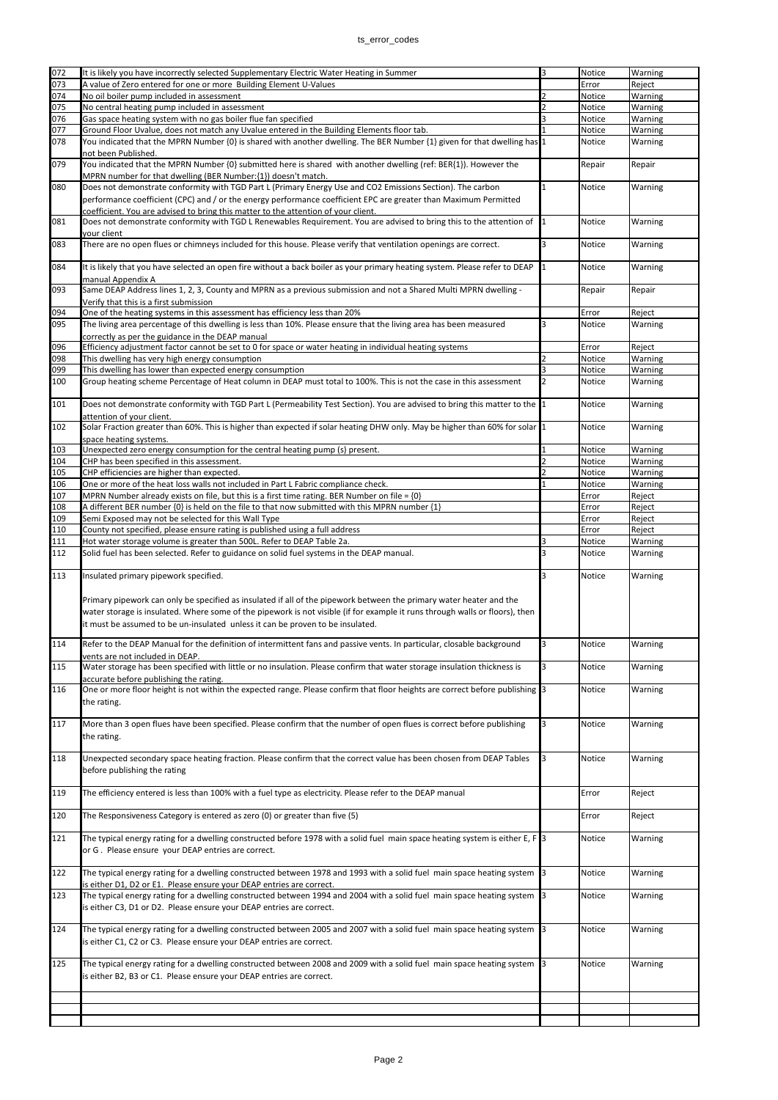| 072 |                                                                                                                                  |   | Notice        |                                                                                                                                                                                                                                                                                                                                                                                                                                                                 |
|-----|----------------------------------------------------------------------------------------------------------------------------------|---|---------------|-----------------------------------------------------------------------------------------------------------------------------------------------------------------------------------------------------------------------------------------------------------------------------------------------------------------------------------------------------------------------------------------------------------------------------------------------------------------|
|     | It is likely you have incorrectly selected Supplementary Electric Water Heating in Summer                                        |   |               |                                                                                                                                                                                                                                                                                                                                                                                                                                                                 |
| 073 | A value of Zero entered for one or more Building Element U-Values                                                                |   | Error         |                                                                                                                                                                                                                                                                                                                                                                                                                                                                 |
| 074 | No oil boiler pump included in assessment                                                                                        |   | Notice        |                                                                                                                                                                                                                                                                                                                                                                                                                                                                 |
| 075 | No central heating pump included in assessment                                                                                   |   | Notice        |                                                                                                                                                                                                                                                                                                                                                                                                                                                                 |
|     |                                                                                                                                  |   |               |                                                                                                                                                                                                                                                                                                                                                                                                                                                                 |
| 076 | Gas space heating system with no gas boiler flue fan specified                                                                   |   | Notice        |                                                                                                                                                                                                                                                                                                                                                                                                                                                                 |
| 077 | Ground Floor Uvalue, does not match any Uvalue entered in the Building Elements floor tab.                                       |   | Notice        |                                                                                                                                                                                                                                                                                                                                                                                                                                                                 |
| 078 | You indicated that the MPRN Number $\{0\}$ is shared with another dwelling. The BER Number $\{1\}$ given for that dwelling has 1 |   | Notice        |                                                                                                                                                                                                                                                                                                                                                                                                                                                                 |
|     |                                                                                                                                  |   |               |                                                                                                                                                                                                                                                                                                                                                                                                                                                                 |
|     | not been Published.                                                                                                              |   |               |                                                                                                                                                                                                                                                                                                                                                                                                                                                                 |
| 079 | You indicated that the MPRN Number {0} submitted here is shared with another dwelling (ref: BER{1}). However the                 |   | Repair        |                                                                                                                                                                                                                                                                                                                                                                                                                                                                 |
|     |                                                                                                                                  |   |               |                                                                                                                                                                                                                                                                                                                                                                                                                                                                 |
|     | MPRN number for that dwelling (BER Number: {1}) doesn't match.                                                                   |   |               |                                                                                                                                                                                                                                                                                                                                                                                                                                                                 |
| 080 | Does not demonstrate conformity with TGD Part L (Primary Energy Use and CO2 Emissions Section). The carbon                       |   | <b>Notice</b> |                                                                                                                                                                                                                                                                                                                                                                                                                                                                 |
|     | performance coefficient (CPC) and / or the energy performance coefficient EPC are greater than Maximum Permitted                 |   |               |                                                                                                                                                                                                                                                                                                                                                                                                                                                                 |
|     |                                                                                                                                  |   |               |                                                                                                                                                                                                                                                                                                                                                                                                                                                                 |
|     | coefficient. You are advised to bring this matter to the attention of your client.                                               |   |               |                                                                                                                                                                                                                                                                                                                                                                                                                                                                 |
| 081 | Does not demonstrate conformity with TGD L Renewables Requirement. You are advised to bring this to the attention of 1           |   | Notice        |                                                                                                                                                                                                                                                                                                                                                                                                                                                                 |
|     |                                                                                                                                  |   |               |                                                                                                                                                                                                                                                                                                                                                                                                                                                                 |
|     | your client                                                                                                                      |   |               |                                                                                                                                                                                                                                                                                                                                                                                                                                                                 |
| 083 | There are no open flues or chimneys included for this house. Please verify that ventilation openings are correct.                | 3 | Notice        | Warning<br>Reject<br>Warning<br>Warning<br>Warning<br>Warning<br>Warning<br>Repair<br>Warning<br>Warning<br>Warning<br>Warning<br>Repair<br>Reject<br>Warning<br>Reject<br>Warning<br>Warning<br>Warning<br>Warning<br>Warning<br>Warning<br>Warning<br>Warning<br>Warning<br>Reject<br>Reject<br>Reject<br>Reject<br>Warning<br>Warning<br>Warning<br>Warning<br>Warning<br>Warning<br>Warning<br>Warning<br>Reject<br>Reject<br>Warning<br>Warning<br>Warning |
|     |                                                                                                                                  |   |               |                                                                                                                                                                                                                                                                                                                                                                                                                                                                 |
|     |                                                                                                                                  |   |               |                                                                                                                                                                                                                                                                                                                                                                                                                                                                 |
| 084 | It is likely that you have selected an open fire without a back boiler as your primary heating system. Please refer to DEAP      | 1 | Notice        |                                                                                                                                                                                                                                                                                                                                                                                                                                                                 |
|     | manual Appendix A                                                                                                                |   |               |                                                                                                                                                                                                                                                                                                                                                                                                                                                                 |
| 093 | Same DEAP Address lines 1, 2, 3, County and MPRN as a previous submission and not a Shared Multi MPRN dwelling -                 |   |               |                                                                                                                                                                                                                                                                                                                                                                                                                                                                 |
|     |                                                                                                                                  |   | Repair        |                                                                                                                                                                                                                                                                                                                                                                                                                                                                 |
|     | Verify that this is a first submission                                                                                           |   |               |                                                                                                                                                                                                                                                                                                                                                                                                                                                                 |
| 094 | One of the heating systems in this assessment has efficiency less than 20%                                                       |   | Error         |                                                                                                                                                                                                                                                                                                                                                                                                                                                                 |
|     |                                                                                                                                  |   |               |                                                                                                                                                                                                                                                                                                                                                                                                                                                                 |
| 095 | The living area percentage of this dwelling is less than 10%. Please ensure that the living area has been measured               | ੨ | Notice        |                                                                                                                                                                                                                                                                                                                                                                                                                                                                 |
|     | correctly as per the guidance in the DEAP manual                                                                                 |   |               |                                                                                                                                                                                                                                                                                                                                                                                                                                                                 |
|     |                                                                                                                                  |   |               |                                                                                                                                                                                                                                                                                                                                                                                                                                                                 |
| 096 | Efficiency adjustment factor cannot be set to 0 for space or water heating in individual heating systems                         |   | Error         |                                                                                                                                                                                                                                                                                                                                                                                                                                                                 |
| 098 | This dwelling has very high energy consumption                                                                                   |   | Notice        |                                                                                                                                                                                                                                                                                                                                                                                                                                                                 |
| 099 | This dwelling has lower than expected energy consumption                                                                         |   | Notice        |                                                                                                                                                                                                                                                                                                                                                                                                                                                                 |
|     |                                                                                                                                  |   |               |                                                                                                                                                                                                                                                                                                                                                                                                                                                                 |
| 100 | Group heating scheme Percentage of Heat column in DEAP must total to 100%. This is not the case in this assessment               |   | Notice        |                                                                                                                                                                                                                                                                                                                                                                                                                                                                 |
|     |                                                                                                                                  |   |               |                                                                                                                                                                                                                                                                                                                                                                                                                                                                 |
|     |                                                                                                                                  |   |               |                                                                                                                                                                                                                                                                                                                                                                                                                                                                 |
| 101 | Does not demonstrate conformity with TGD Part L (Permeability Test Section). You are advised to bring this matter to the 1       |   | Notice        |                                                                                                                                                                                                                                                                                                                                                                                                                                                                 |
|     | attention of your client.                                                                                                        |   |               |                                                                                                                                                                                                                                                                                                                                                                                                                                                                 |
|     |                                                                                                                                  |   |               |                                                                                                                                                                                                                                                                                                                                                                                                                                                                 |
| 102 | Solar Fraction greater than 60%. This is higher than expected if solar heating DHW only. May be higher than 60% for solar 1      |   | Notice        |                                                                                                                                                                                                                                                                                                                                                                                                                                                                 |
|     | space heating systems.                                                                                                           |   |               |                                                                                                                                                                                                                                                                                                                                                                                                                                                                 |
| 103 | Unexpected zero energy consumption for the central heating pump (s) present.                                                     |   | Notice        |                                                                                                                                                                                                                                                                                                                                                                                                                                                                 |
|     |                                                                                                                                  |   |               |                                                                                                                                                                                                                                                                                                                                                                                                                                                                 |
| 104 | CHP has been specified in this assessment.                                                                                       |   | Notice        |                                                                                                                                                                                                                                                                                                                                                                                                                                                                 |
| 105 | CHP efficiencies are higher than expected.                                                                                       |   | Notice        |                                                                                                                                                                                                                                                                                                                                                                                                                                                                 |
|     |                                                                                                                                  |   |               |                                                                                                                                                                                                                                                                                                                                                                                                                                                                 |
| 106 | One or more of the heat loss walls not included in Part L Fabric compliance check.                                               |   | Notice        |                                                                                                                                                                                                                                                                                                                                                                                                                                                                 |
| 107 | MPRN Number already exists on file, but this is a first time rating. BER Number on file = $\{0\}$                                |   | Error         |                                                                                                                                                                                                                                                                                                                                                                                                                                                                 |
| 108 | A different BER number {0} is held on the file to that now submitted with this MPRN number {1}                                   |   | Error         |                                                                                                                                                                                                                                                                                                                                                                                                                                                                 |
|     |                                                                                                                                  |   |               |                                                                                                                                                                                                                                                                                                                                                                                                                                                                 |
| 109 | Semi Exposed may not be selected for this Wall Type                                                                              |   | Error         |                                                                                                                                                                                                                                                                                                                                                                                                                                                                 |
| 110 | County not specified, please ensure rating is published using a full address                                                     |   | Error         |                                                                                                                                                                                                                                                                                                                                                                                                                                                                 |
|     |                                                                                                                                  |   |               |                                                                                                                                                                                                                                                                                                                                                                                                                                                                 |
| 111 | Hot water storage volume is greater than 500L. Refer to DEAP Table 2a.                                                           |   | Notice        |                                                                                                                                                                                                                                                                                                                                                                                                                                                                 |
| 112 | Solid fuel has been selected. Refer to guidance on solid fuel systems in the DEAP manual.                                        |   | Notice        |                                                                                                                                                                                                                                                                                                                                                                                                                                                                 |
|     |                                                                                                                                  |   |               |                                                                                                                                                                                                                                                                                                                                                                                                                                                                 |
|     |                                                                                                                                  |   |               |                                                                                                                                                                                                                                                                                                                                                                                                                                                                 |
|     |                                                                                                                                  |   |               |                                                                                                                                                                                                                                                                                                                                                                                                                                                                 |
| 113 | Insulated primary pipework specified.                                                                                            |   | Notice        |                                                                                                                                                                                                                                                                                                                                                                                                                                                                 |
|     |                                                                                                                                  |   |               |                                                                                                                                                                                                                                                                                                                                                                                                                                                                 |
|     |                                                                                                                                  |   |               |                                                                                                                                                                                                                                                                                                                                                                                                                                                                 |
|     | Primary pipework can only be specified as insulated if all of the pipework between the primary water heater and the              |   |               |                                                                                                                                                                                                                                                                                                                                                                                                                                                                 |
|     |                                                                                                                                  |   |               |                                                                                                                                                                                                                                                                                                                                                                                                                                                                 |
|     | water storage is insulated. Where some of the pipework is not visible (if for example it runs through walls or floors), then     |   |               |                                                                                                                                                                                                                                                                                                                                                                                                                                                                 |
|     | it must be assumed to be un-insulated unless it can be proven to be insulated.                                                   |   |               |                                                                                                                                                                                                                                                                                                                                                                                                                                                                 |
|     |                                                                                                                                  |   |               |                                                                                                                                                                                                                                                                                                                                                                                                                                                                 |
|     |                                                                                                                                  | 3 |               |                                                                                                                                                                                                                                                                                                                                                                                                                                                                 |
| 114 | Refer to the DEAP Manual for the definition of intermittent fans and passive vents. In particular, closable background           |   | Notice        |                                                                                                                                                                                                                                                                                                                                                                                                                                                                 |
|     | vents are not included in DEAP.                                                                                                  |   |               |                                                                                                                                                                                                                                                                                                                                                                                                                                                                 |
| 115 | Water storage has been specified with little or no insulation. Please confirm that water storage insulation thickness is         | 3 | Notice        |                                                                                                                                                                                                                                                                                                                                                                                                                                                                 |
|     |                                                                                                                                  |   |               |                                                                                                                                                                                                                                                                                                                                                                                                                                                                 |
|     | accurate before publishing the rating.                                                                                           |   |               |                                                                                                                                                                                                                                                                                                                                                                                                                                                                 |
| 116 | One or more floor height is not within the expected range. Please confirm that floor heights are correct before publishing 3     |   | Notice        |                                                                                                                                                                                                                                                                                                                                                                                                                                                                 |
|     |                                                                                                                                  |   |               |                                                                                                                                                                                                                                                                                                                                                                                                                                                                 |
|     | the rating.                                                                                                                      |   |               |                                                                                                                                                                                                                                                                                                                                                                                                                                                                 |
|     |                                                                                                                                  |   |               |                                                                                                                                                                                                                                                                                                                                                                                                                                                                 |
| 117 | More than 3 open flues have been specified. Please confirm that the number of open flues is correct before publishing            |   | Notice        |                                                                                                                                                                                                                                                                                                                                                                                                                                                                 |
|     |                                                                                                                                  |   |               |                                                                                                                                                                                                                                                                                                                                                                                                                                                                 |
|     | the rating.                                                                                                                      |   |               |                                                                                                                                                                                                                                                                                                                                                                                                                                                                 |
|     |                                                                                                                                  |   |               |                                                                                                                                                                                                                                                                                                                                                                                                                                                                 |
| 118 | Unexpected secondary space heating fraction. Please confirm that the correct value has been chosen from DEAP Tables              |   | Notice        |                                                                                                                                                                                                                                                                                                                                                                                                                                                                 |
|     |                                                                                                                                  |   |               |                                                                                                                                                                                                                                                                                                                                                                                                                                                                 |
|     | before publishing the rating                                                                                                     |   |               |                                                                                                                                                                                                                                                                                                                                                                                                                                                                 |
|     |                                                                                                                                  |   |               |                                                                                                                                                                                                                                                                                                                                                                                                                                                                 |
|     |                                                                                                                                  |   |               |                                                                                                                                                                                                                                                                                                                                                                                                                                                                 |
| 119 | The efficiency entered is less than 100% with a fuel type as electricity. Please refer to the DEAP manual                        |   | Error         |                                                                                                                                                                                                                                                                                                                                                                                                                                                                 |
|     |                                                                                                                                  |   |               |                                                                                                                                                                                                                                                                                                                                                                                                                                                                 |
| 120 | The Responsiveness Category is entered as zero (0) or greater than five (5)                                                      |   | Error         |                                                                                                                                                                                                                                                                                                                                                                                                                                                                 |
|     |                                                                                                                                  |   |               |                                                                                                                                                                                                                                                                                                                                                                                                                                                                 |
|     |                                                                                                                                  |   |               |                                                                                                                                                                                                                                                                                                                                                                                                                                                                 |
| 121 | The typical energy rating for a dwelling constructed before 1978 with a solid fuel main space heating system is either E, F 3    |   | Notice        |                                                                                                                                                                                                                                                                                                                                                                                                                                                                 |
|     |                                                                                                                                  |   |               |                                                                                                                                                                                                                                                                                                                                                                                                                                                                 |
|     | or G. Please ensure your DEAP entries are correct.                                                                               |   |               |                                                                                                                                                                                                                                                                                                                                                                                                                                                                 |
|     |                                                                                                                                  |   |               |                                                                                                                                                                                                                                                                                                                                                                                                                                                                 |
|     |                                                                                                                                  |   |               |                                                                                                                                                                                                                                                                                                                                                                                                                                                                 |
| 122 | The typical energy rating for a dwelling constructed between 1978 and 1993 with a solid fuel main space heating system 3         |   | Notice        |                                                                                                                                                                                                                                                                                                                                                                                                                                                                 |
|     | is either D1, D2 or E1. Please ensure your DEAP entries are correct.                                                             |   |               |                                                                                                                                                                                                                                                                                                                                                                                                                                                                 |
| 123 |                                                                                                                                  |   | Notice        |                                                                                                                                                                                                                                                                                                                                                                                                                                                                 |
|     | The typical energy rating for a dwelling constructed between 1994 and 2004 with a solid fuel main space heating system 3         |   |               |                                                                                                                                                                                                                                                                                                                                                                                                                                                                 |
|     | is either C3, D1 or D2. Please ensure your DEAP entries are correct.                                                             |   |               |                                                                                                                                                                                                                                                                                                                                                                                                                                                                 |
|     |                                                                                                                                  |   |               |                                                                                                                                                                                                                                                                                                                                                                                                                                                                 |
|     |                                                                                                                                  |   |               |                                                                                                                                                                                                                                                                                                                                                                                                                                                                 |
| 124 | The typical energy rating for a dwelling constructed between 2005 and 2007 with a solid fuel main space heating system 3         |   | <b>Notice</b> | Warning                                                                                                                                                                                                                                                                                                                                                                                                                                                         |
|     | is either C1, C2 or C3. Please ensure your DEAP entries are correct.                                                             |   |               |                                                                                                                                                                                                                                                                                                                                                                                                                                                                 |
|     |                                                                                                                                  |   |               |                                                                                                                                                                                                                                                                                                                                                                                                                                                                 |
|     |                                                                                                                                  |   |               |                                                                                                                                                                                                                                                                                                                                                                                                                                                                 |
| 125 | The typical energy rating for a dwelling constructed between 2008 and 2009 with a solid fuel main space heating system 3         |   | Notice        | Warning                                                                                                                                                                                                                                                                                                                                                                                                                                                         |
|     | is either B2, B3 or C1. Please ensure your DEAP entries are correct.                                                             |   |               |                                                                                                                                                                                                                                                                                                                                                                                                                                                                 |
|     |                                                                                                                                  |   |               |                                                                                                                                                                                                                                                                                                                                                                                                                                                                 |
|     |                                                                                                                                  |   |               |                                                                                                                                                                                                                                                                                                                                                                                                                                                                 |
|     |                                                                                                                                  |   |               |                                                                                                                                                                                                                                                                                                                                                                                                                                                                 |
|     |                                                                                                                                  |   |               |                                                                                                                                                                                                                                                                                                                                                                                                                                                                 |
|     |                                                                                                                                  |   |               |                                                                                                                                                                                                                                                                                                                                                                                                                                                                 |